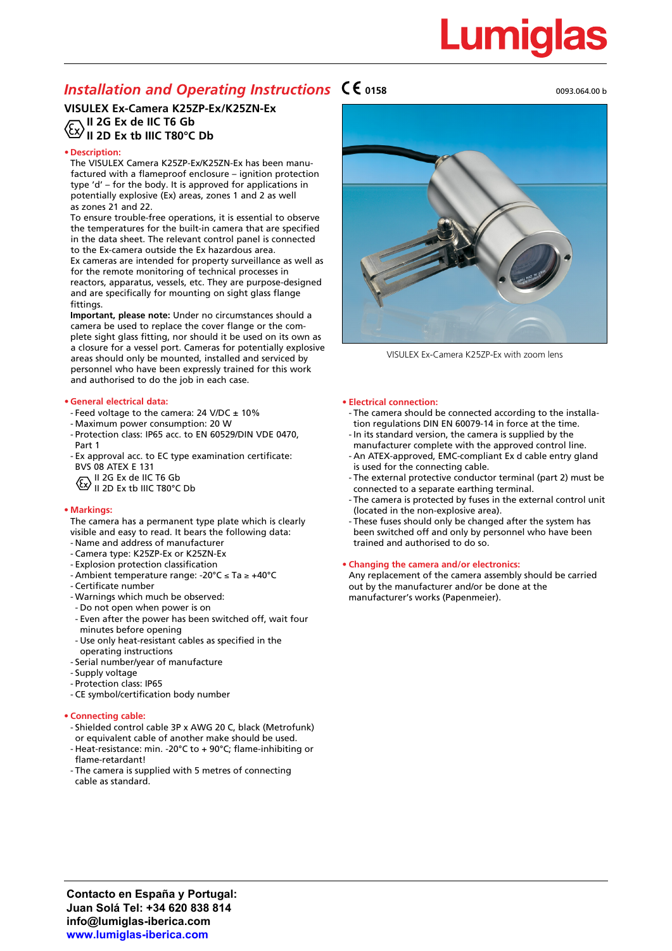# <u>Lumiqlas</u>

## **Installation and Operating Instructions**  $\mathsf{CE}_{0158}$  **0158** 0093.064.00 b 0093.064.00 b

## **VISULEX Ex-Camera K25ZP-Ex/K25ZN-Ex** الله علي السياسية ...<br>II 2G Ex de IIC T6 Gb<br>The F **II 2D Ex tb IIIC T80°C Db**

## **• Description:**

The VISULEX Camera K25ZP-Ex/K25ZN-Ex has been manufactured with a flameproof enclosure – ignition protection type 'd' – for the body. It is approved for applications in potentially explosive (Ex) areas, zones 1 and 2 as well as zones 21 and 22.

To ensure trouble-free operations, it is essential to observe the temperatures for the built-in camera that are specified in the data sheet. The relevant control panel is connected to the Ex-camera outside the Ex hazardous area. Ex cameras are intended for property surveillance as well as for the remote monitoring of technical processes in reactors, apparatus, vessels, etc. They are purpose-designed and are specifically for mounting on sight glass flange fittings.

**Important, please note:** Under no circumstances should a camera be used to replace the cover flange or the complete sight glass fitting, nor should it be used on its own as a closure for a vessel port. Cameras for potentially explosive areas should only be mounted, installed and serviced by personnel who have been expressly trained for this work and authorised to do the job in each case.

## **• General electrical data:**

- Feed voltage to the camera: 24 V/DC ± 10%
- Maximum power consumption: 20 W
- Protection class: IP65 acc. to EN 60529/DIN VDE 0470, Part 1
- Ex approval acc. to EC type examination certificate: BVS 08 ATEX E 131
- $F$  II 2G Ex de IIC T6 Gb
- II 2D Ex tb IIIC T80°C Db

## **• Markings:**

- The camera has a permanent type plate which is clearly visible and easy to read. It bears the following data:
- Name and address of manufacturer
- Camera type: K25ZP-Ex or K25ZN-Ex
- Explosion protection classification
- Ambient temperature range: -20°C ≤ Ta ≥ +40°C
- Certificate number
- Warnings which much be observed:
- Do not open when power is on
- Even after the power has been switched off, wait four minutes before opening
- Use only heat-resistant cables as specified in the operating instructions
- Serial number/year of manufacture
- Supply voltage
- Protection class: IP65
- CE symbol/certification body number

### **• Connecting cable:**

- Shielded control cable 3P x AWG 20 C, black (Metrofunk) or equivalent cable of another make should be used.
- Heat-resistance: min. -20°C to + 90°C; flame-inhibiting or flame-retardant!
- The camera is supplied with 5 metres of connecting cable as standard.



VISULEX Ex-Camera K25ZP-Ex with zoom lens

### **• Electrical connection:**

- The camera should be connected according to the installa tion regulations DIN EN 60079-14 in force at the time.
- In its standard version, the camera is supplied by the manufacturer complete with the approved control line.
- An ATEX-approved, EMC-compliant Ex d cable entry gland is used for the connecting cable.
- The external protective conductor terminal (part 2) must be connected to a separate earthing terminal.
- The camera is protected by fuses in the external control unit (located in the non-explosive area).
- These fuses should only be changed after the system has been switched off and only by personnel who have been trained and authorised to do so.

## **• Changing the camera and/or electronics:**

Any replacement of the camera assembly should be carried out by the manufacturer and/or be done at the manufacturer's works (Papenmeier).